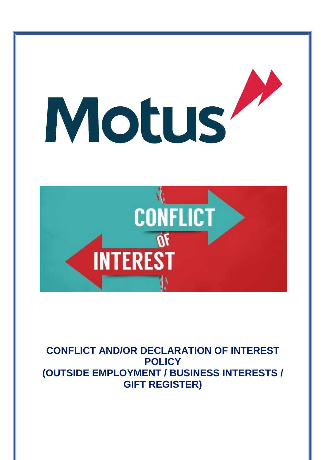

**CONFLICT AND/OR DECLARATION OF INTEREST POLICY (OUTSIDE EMPLOYMENT / BUSINESS INTERESTS / GIFT REGISTER)**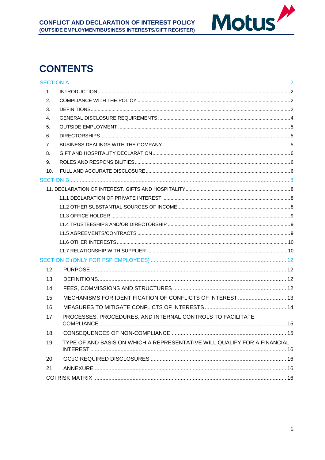

# **CONTENTS**

| $1_{-}$ |                                                                          |     |
|---------|--------------------------------------------------------------------------|-----|
| 2.      |                                                                          |     |
| 3.      |                                                                          |     |
| 4.      |                                                                          |     |
| 5.      |                                                                          |     |
| 6.      |                                                                          |     |
| 7.      |                                                                          |     |
| 8.      |                                                                          |     |
| 9.      |                                                                          |     |
| 10.     |                                                                          |     |
|         |                                                                          |     |
|         |                                                                          |     |
|         |                                                                          |     |
|         |                                                                          |     |
|         |                                                                          |     |
|         |                                                                          |     |
|         |                                                                          |     |
|         |                                                                          |     |
|         |                                                                          |     |
|         |                                                                          |     |
| 12.     |                                                                          |     |
| 13.     |                                                                          |     |
| 14.     |                                                                          |     |
| 15.     | MECHANISMS FOR IDENTIFICATION OF CONFLICTS OF INTEREST  13               |     |
| 16.     |                                                                          |     |
| 17.     | PROCESSES, PROCEDURES, AND INTERNAL CONTROLS TO FACILITATE<br>COMPLIANCE | .15 |
| 18.     |                                                                          |     |
| 19.     | TYPE OF AND BASIS ON WHICH A REPRESENTATIVE WILL QUALIFY FOR A FINANCIAL |     |
| 20.     |                                                                          |     |
| 21.     |                                                                          |     |
|         |                                                                          |     |
|         |                                                                          |     |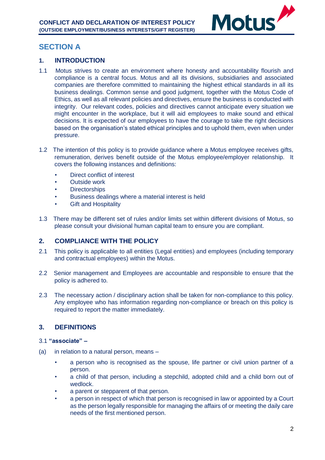

# <span id="page-2-0"></span>**SECTION A**

## <span id="page-2-1"></span>**1. INTRODUCTION**

- 1.1 Motus strives to create an environment where honesty and accountability flourish and compliance is a central focus. Motus and all its divisions, subsidiaries and associated companies are therefore committed to maintaining the highest ethical standards in all its business dealings. Common sense and good judgment, together with the Motus Code of Ethics, as well as all relevant policies and directives, ensure the business is conducted with integrity. Our relevant codes, policies and directives cannot anticipate every situation we might encounter in the workplace, but it will aid employees to make sound and ethical decisions. It is expected of our employees to have the courage to take the right decisions based on the organisation's stated ethical principles and to uphold them, even when under pressure.
- 1.2 The intention of this policy is to provide guidance where a Motus employee receives gifts, remuneration, derives benefit outside of the Motus employee/employer relationship. It covers the following instances and definitions:
	- Direct conflict of interest
	- Outside work
	- **Directorships**
	- Business dealings where a material interest is held
	- **Gift and Hospitality**
- 1.3 There may be different set of rules and/or limits set within different divisions of Motus, so please consult your divisional human capital team to ensure you are compliant.

## <span id="page-2-2"></span>**2. COMPLIANCE WITH THE POLICY**

- 2.1 This policy is applicable to all entities (Legal entities) and employees (including temporary and contractual employees) within the Motus.
- 2.2 Senior management and Employees are accountable and responsible to ensure that the policy is adhered to.
- 2.3 The necessary action / disciplinary action shall be taken for non-compliance to this policy. Any employee who has information regarding non-compliance or breach on this policy is required to report the matter immediately.

## <span id="page-2-3"></span>**3. DEFINITIONS**

#### 3.1 **"associate" –**

- (a) in relation to a natural person, means
	- a person who is recognised as the spouse, life partner or civil union partner of a person.
	- a child of that person, including a stepchild, adopted child and a child born out of wedlock.
	- a parent or stepparent of that person.
	- a person in respect of which that person is recognised in law or appointed by a Court as the person legally responsible for managing the affairs of or meeting the daily care needs of the first mentioned person.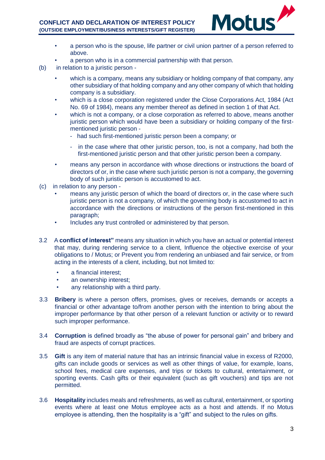

- a person who is the spouse, life partner or civil union partner of a person referred to above.
- a person who is in a commercial partnership with that person.
- (b) in relation to a juristic person
	- which is a company, means any subsidiary or holding company of that company, any other subsidiary of that holding company and any other company of which that holding company is a subsidiary.
	- which is a close corporation registered under the Close Corporations Act, 1984 (Act No. 69 of 1984), means any member thereof as defined in section 1 of that Act.
	- which is not a company, or a close corporation as referred to above, means another juristic person which would have been a subsidiary or holding company of the firstmentioned juristic person -
		- had such first-mentioned juristic person been a company; or
		- in the case where that other juristic person, too, is not a company, had both the first-mentioned juristic person and that other juristic person been a company.
	- means any person in accordance with whose directions or instructions the board of directors of or, in the case where such juristic person is not a company, the governing body of such juristic person is accustomed to act.
- (c) in relation to any person
	- means any juristic person of which the board of directors or, in the case where such juristic person is not a company, of which the governing body is accustomed to act in accordance with the directions or instructions of the person first-mentioned in this paragraph;
	- Includes any trust controlled or administered by that person.
- 3.2 A **conflict of interest"** means any situation in which you have an actual or potential interest that may, during rendering service to a client, Influence the objective exercise of your obligations to / Motus; or Prevent you from rendering an unbiased and fair service, or from acting in the interests of a client, including, but not limited to:
	- a financial interest;
	- an ownership interest;
	- any relationship with a third party.
- 3.3 **Bribery** is where a person offers, promises, gives or receives, demands or accepts a financial or other advantage to/from another person with the intention to bring about the improper performance by that other person of a relevant function or activity or to reward such improper performance.
- 3.4 **Corruption** is defined broadly as "the abuse of power for personal gain" and bribery and fraud are aspects of corrupt practices.
- 3.5 **Gift** is any item of material nature that has an intrinsic financial value in excess of R2000, gifts can include goods or services as well as other things of value, for example, loans, school fees, medical care expenses, and trips or tickets to cultural, entertainment, or sporting events. Cash gifts or their equivalent (such as gift vouchers) and tips are not permitted.
- 3.6 **Hospitality** includes meals and refreshments, as well as cultural, entertainment, or sporting events where at least one Motus employee acts as a host and attends. If no Motus employee is attending, then the hospitality is a "gift" and subject to the rules on gifts.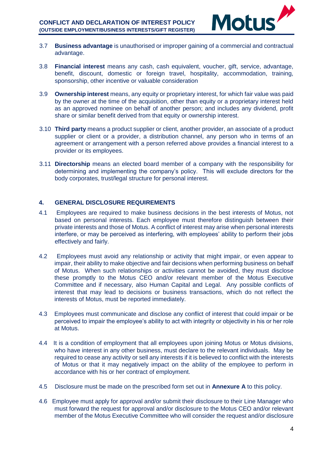

- 3.7 **Business advantage** is unauthorised or improper gaining of a commercial and contractual advantage.
- 3.8 **Financial interest** means any cash, cash equivalent, voucher, gift, service, advantage, benefit, discount, domestic or foreign travel, hospitality, accommodation, training, sponsorship, other incentive or valuable consideration
- 3.9 **Ownership interest** means, any equity or proprietary interest, for which fair value was paid by the owner at the time of the acquisition, other than equity or a proprietary interest held as an approved nominee on behalf of another person; and includes any dividend, profit share or similar benefit derived from that equity or ownership interest.
- 3.10 **Third party** means a product supplier or client, another provider, an associate of a product supplier or client or a provider, a distribution channel, any person who in terms of an agreement or arrangement with a person referred above provides a financial interest to a provider or its employees.
- 3.11 **Directorship** means an elected board member of a company with the responsibility for determining and implementing the company's policy. This will exclude directors for the body corporates, trust/legal structure for personal interest.

## <span id="page-4-0"></span>**4. GENERAL DISCLOSURE REQUIREMENTS**

- 4.1 Employees are required to make business decisions in the best interests of Motus, not based on personal interests. Each employee must therefore distinguish between their private interests and those of Motus. A conflict of interest may arise when personal interests interfere, or may be perceived as interfering, with employees' ability to perform their jobs effectively and fairly.
- 4.2 Employees must avoid any relationship or activity that might impair, or even appear to impair, their ability to make objective and fair decisions when performing business on behalf of Motus. When such relationships or activities cannot be avoided, they must disclose these promptly to the Motus CEO and/or relevant member of the Motus Executive Committee and if necessary, also Human Capital and Legal. Any possible conflicts of interest that may lead to decisions or business transactions, which do not reflect the interests of Motus, must be reported immediately.
- 4.3 Employees must communicate and disclose any conflict of interest that could impair or be perceived to impair the employee's ability to act with integrity or objectivity in his or her role at Motus.
- 4.4 It is a condition of employment that all employees upon joining Motus or Motus divisions, who have interest in any other business, must declare to the relevant individuals. May be required to cease any activity or sell any interests if it is believed to conflict with the interests of Motus or that it may negatively impact on the ability of the employee to perform in accordance with his or her contract of employment.
- 4.5 Disclosure must be made on the prescribed form set out in **Annexure A** to this policy.
- 4.6 Employee must apply for approval and/or submit their disclosure to their Line Manager who must forward the request for approval and/or disclosure to the Motus CEO and/or relevant member of the Motus Executive Committee who will consider the request and/or disclosure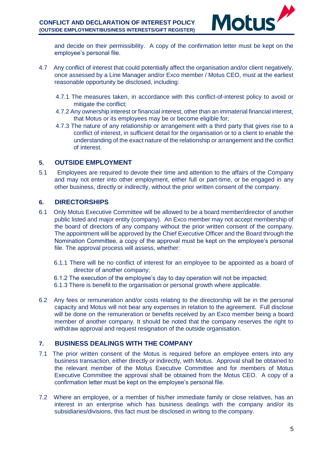

and decide on their permissibility. A copy of the confirmation letter must be kept on the employee's personal file.

- 4.7 Any conflict of interest that could potentially affect the organisation and/or client negatively, once assessed by a Line Manager and/or Exco member / Motus CEO, must at the earliest reasonable opportunity be disclosed, including:
	- 4.7.1 The measures taken, in accordance with this conflict-of-interest policy to avoid or mitigate the conflict;
	- 4.7.2 Any ownership interest or financial interest, other than an immaterial financial interest, that Motus or its employees may be or become eligible for;
	- 4.7.3 The nature of any relationship or arrangement with a third party that gives rise to a conflict of interest, in sufficient detail for the organisation or to a client to enable the understanding of the exact nature of the relationship or arrangement and the conflict of interest.

## <span id="page-5-0"></span>**5. OUTSIDE EMPLOYMENT**

5.1 Employees are required to devote their time and attention to the affairs of the Company and may not enter into other employment, either full or part-time, or be engaged in any other business, directly or indirectly, without the prior written consent of the company.

## <span id="page-5-1"></span>**6. DIRECTORSHIPS**

- 6.1 Only Motus Executive Committee will be allowed to be a board member/director of another public listed and major entity (company). An Exco member may not accept membership of the board of directors of any company without the prior written consent of the company. The appointment will be approved by the Chief Executive Officer and the Board through the Nomination Committee, a copy of the approval must be kept on the employee's personal file. The approval process will assess, whether:
	- 6.1.1 There will be no conflict of interest for an employee to be appointed as a board of director of another company;
	- 6.1.2 The execution of the employee's day to day operation will not be impacted;
	- 6.1.3 There is benefit to the organisation or personal growth where applicable.
- 6.2 Any fees or remuneration and/or costs relating to the directorship will be in the personal capacity and Motus will not bear any expenses in relation to the agreement. Full disclose will be done on the remuneration or benefits received by an Exco member being a board member of another company. It should be noted that the company reserves the right to withdraw approval and request resignation of the outside organisation.

## <span id="page-5-2"></span>**7. BUSINESS DEALINGS WITH THE COMPANY**

- 7.1 The prior written consent of the Motus is required before an employee enters into any business transaction, either directly or indirectly, with Motus. Approval shall be obtained to the relevant member of the Motus Executive Committee and for members of Motus Executive Committee the approval shall be obtained from the Motus CEO. A copy of a confirmation letter must be kept on the employee's personal file.
- 7.2 Where an employee, or a member of his/her immediate family or close relatives, has an interest in an enterprise which has business dealings with the company and/or its subsidiaries/divisions, this fact must be disclosed in writing to the company.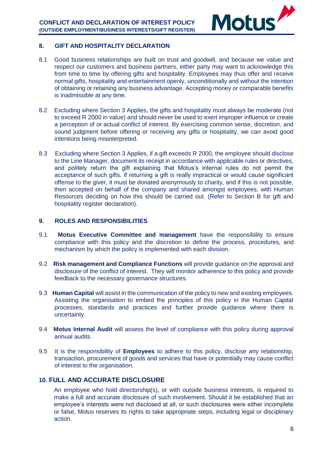

#### <span id="page-6-0"></span>**8. GIFT AND HOSPITALITY DECLARATION**

- 8.1 Good business relationships are built on trust and goodwill, and because we value and respect our customers and business partners, either party may want to acknowledge this from time to time by offering gifts and hospitality. Employees may thus offer and receive normal gifts, hospitality and entertainment openly, unconditionally and without the intention of obtaining or retaining any business advantage. Accepting money or comparable benefits is inadmissible at any time.
- 8.2 Excluding where Section 3 Applies, the gifts and hospitality must always be moderate (not to exceed R 2000 in value) and should never be used to exert improper influence or create a perception of or actual conflict of interest. By exercising common sense, discretion, and sound judgment before offering or receiving any gifts or hospitality, we can avoid good intentions being misinterpreted.
- 8.3 Excluding where Section 3 Applies, if a gift exceeds R 2000, the employee should disclose to the Line Manager, document its receipt in accordance with applicable rules or directives, and politely return the gift explaining that Motus's internal rules do not permit the acceptance of such gifts. If returning a gift is really impractical or would cause significant offense to the giver, it must be donated anonymously to charity, and if this is not possible, then accepted on behalf of the company and shared amongst employees, with Human Resources deciding on how this should be carried out. (Refer to Section B for gift and hospitality register declaration).

## <span id="page-6-1"></span>**9. ROLES AND RESPONSIBILITIES**

- 9.1 **Motus Executive Committee and management** have the responsibility to ensure compliance with this policy and the discretion to define the process, procedures, and mechanism by which the policy is implemented with each division.
- 9.2 **Risk management and Compliance Functions** will provide guidance on the approval and disclosure of the conflict of interest. They will monitor adherence to this policy and provide feedback to the necessary governance structures.
- 9.3 **Human Capital** will assist in the communication of the policy to new and existing employees. Assisting the organisation to embed the principles of this policy in the Human Capital processes, standards and practices and further provide guidance where there is uncertainty.
- 9.4 **Motus Internal Audit** will assess the level of compliance with this policy during approval annual audits.
- 9.5 It is the responsibility of **Employees** to adhere to this policy, disclose any relationship, transaction, procurement of goods and services that have or potentially may cause conflict of interest to the organisation.

## <span id="page-6-2"></span>**10. FULL AND ACCURATE DISCLOSURE**

An employee who hold directorship(s), or with outside business interests, is required to make a full and accurate disclosure of such involvement. Should it be established that an employee's interests were not disclosed at all, or such disclosures were either incomplete or false, Motus reserves its rights to take appropriate steps, including legal or disciplinary action.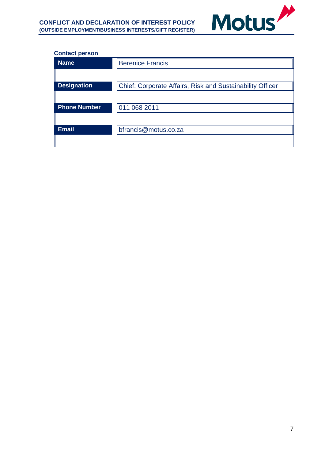

#### **Contact person**

| <b>Name</b>         | <b>Berenice Francis</b>                                          |
|---------------------|------------------------------------------------------------------|
|                     |                                                                  |
| <b>Designation</b>  | <b>Chief: Corporate Affairs, Risk and Sustainability Officer</b> |
|                     |                                                                  |
| <b>Phone Number</b> | 011 068 2011                                                     |
|                     |                                                                  |
| <b>Email</b>        | bfrancis@motus.co.za                                             |
|                     |                                                                  |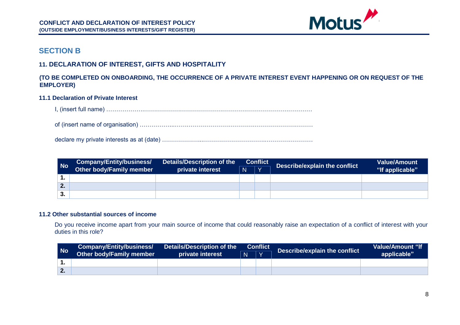

## **SECTION B**

## **11. DECLARATION OF INTEREST, GIFTS AND HOSPITALITY**

## **(TO BE COMPLETED ON ONBOARDING, THE OCCURRENCE OF A PRIVATE INTEREST EVENT HAPPENING OR ON REQUEST OF THE EMPLOYER)**

#### **11.1 Declaration of Private Interest**

I, (insert full name) ……………….…………………………………………………………………………

of (insert name of organisation) ……………...……………………………………………………………

declare my private interests as at (date) ………………...………………………….……………………

<span id="page-8-0"></span>

| l No           | Company/Entity/business/ | Details/Description of the | <b>Conflict</b> |                         |  |                 |  |  | Describe/explain the conflict | <b>Value/Amount</b> |
|----------------|--------------------------|----------------------------|-----------------|-------------------------|--|-----------------|--|--|-------------------------------|---------------------|
|                | Other body/Family member | private interest           | N               | $\mathsf{I} \mathsf{v}$ |  | "If applicable" |  |  |                               |                     |
|                |                          |                            |                 |                         |  |                 |  |  |                               |                     |
| ◠<br><b>L.</b> |                          |                            |                 |                         |  |                 |  |  |                               |                     |
| 3.             |                          |                            |                 |                         |  |                 |  |  |                               |                     |

#### <span id="page-8-2"></span><span id="page-8-1"></span>**11.2 Other substantial sources of income**

Do you receive income apart from your main source of income that could reasonably raise an expectation of a conflict of interest with your duties in this role?

<span id="page-8-3"></span>

| No | <b>Company/Entity/business/</b> | Details/Description of the | <b>Conflict</b> |  |  |             |  |  | <b>Describe/explain the conflict</b> | <b>Value/Amount "If</b> |
|----|---------------------------------|----------------------------|-----------------|--|--|-------------|--|--|--------------------------------------|-------------------------|
|    | Other body/Family member        | private interest           | N               |  |  | applicable" |  |  |                                      |                         |
|    |                                 |                            |                 |  |  |             |  |  |                                      |                         |
|    |                                 |                            |                 |  |  |             |  |  |                                      |                         |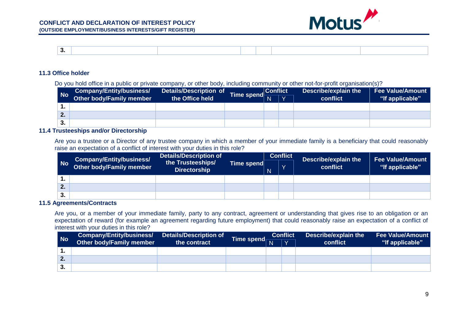



#### **11.3 Office holder**

Do you hold office in a public or private company, or other body, including community or other not-for-profit organisation(s)?

| <b>No</b>        | <b>Company/Entity/business/</b> | <b>Details/Description of</b> |                             | <b>Conflict</b> |              | Describe/explain the | <b>Fee Value/Amount</b> |
|------------------|---------------------------------|-------------------------------|-----------------------------|-----------------|--------------|----------------------|-------------------------|
|                  | Other body/Family member        | the Office held               | Time spend $\frac{cc}{ N }$ |                 | $\mathbf{v}$ | conflict             | "If applicable"         |
|                  |                                 |                               |                             |                 |              |                      |                         |
| $\bullet$<br>z., |                                 |                               |                             |                 |              |                      |                         |
| 3.               |                                 |                               |                             |                 |              |                      |                         |

#### **11.4 Trusteeships and/or Directorship**

Are you a trustee or a Director of any trustee company in which a member of your immediate family is a beneficiary that could reasonably raise an expectation of a conflict of interest with your duties in this role?

|    | Company/Entity/business/        | <b>Details/Description of</b>            |            |   | <b>Conflict</b> | Describe/explain the | <b>Fee Value/Amount</b> |  |
|----|---------------------------------|------------------------------------------|------------|---|-----------------|----------------------|-------------------------|--|
| No | <b>Other body/Family member</b> | the Trusteeships/<br><b>Directorship</b> | Time spend | N |                 | conflict             | "If applicable"         |  |
|    |                                 |                                          |            |   |                 |                      |                         |  |
| 2. |                                 |                                          |            |   |                 |                      |                         |  |
| 3. |                                 |                                          |            |   |                 |                      |                         |  |

#### <span id="page-9-0"></span>**11.5 Agreements/Contracts**

Are you, or a member of your immediate family, party to any contract, agreement or understanding that gives rise to an obligation or an expectation of reward (for example an agreement regarding future employment) that could reasonably raise an expectation of a conflict of interest with your duties in this role?

<span id="page-9-2"></span><span id="page-9-1"></span>

| No   | Company/Entity/business/ Details/Description of |              |                         | <b>Conflict</b> |  | Describe/explain the | <b>Fee Value/Amount</b> |
|------|-------------------------------------------------|--------------|-------------------------|-----------------|--|----------------------|-------------------------|
|      | Other body/Family member                        | the contract | Time spend <sub>N</sub> |                 |  | conflict             | "If applicable"         |
|      |                                                 |              |                         |                 |  |                      |                         |
| 2.   |                                                 |              |                         |                 |  |                      |                         |
| ี 3. |                                                 |              |                         |                 |  |                      |                         |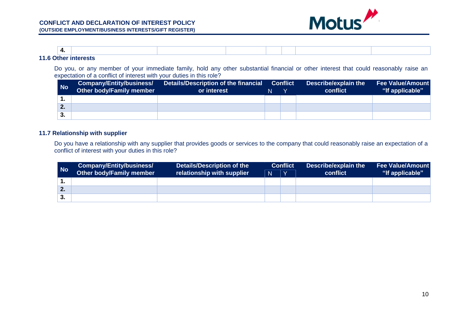

|                                            | $\mathbf{r}$<br>– − |  |  |  |  |  |  |  |
|--------------------------------------------|---------------------|--|--|--|--|--|--|--|
| $\begin{array}{c} 4 \\ 4 \end{array}$<br>. |                     |  |  |  |  |  |  |  |

Do you, or any member of your immediate family, hold any other substantial financial or other interest that could reasonably raise an expectation of a conflict of interest with your duties in this role?

| No | Company/Entity/business/<br>Other body/Family member | Details/Description of the financial<br>or interest | N | <b>Conflict</b> | Describe/explain the<br>conflict | Fee Value/Amount<br>"If applicable" |
|----|------------------------------------------------------|-----------------------------------------------------|---|-----------------|----------------------------------|-------------------------------------|
|    |                                                      |                                                     |   |                 |                                  |                                     |
| 2. |                                                      |                                                     |   |                 |                                  |                                     |
| З. |                                                      |                                                     |   |                 |                                  |                                     |

#### **11.7 Relationship with supplier**

Do you have a relationship with any supplier that provides goods or services to the company that could reasonably raise an expectation of a conflict of interest with your duties in this role?

<span id="page-10-1"></span><span id="page-10-0"></span>

| No | Company/Entity/business/        | Details/Description of the |              | <b>Conflict</b> | Describe/explain the | <b>Fee Value/Amount</b> |  |
|----|---------------------------------|----------------------------|--------------|-----------------|----------------------|-------------------------|--|
|    | <b>Other body/Family member</b> | relationship with supplier | $\mathsf{N}$ | $\mathbf{v}$    | conflict             | "If applicable"         |  |
|    |                                 |                            |              |                 |                      |                         |  |
| 2. |                                 |                            |              |                 |                      |                         |  |
| 3. |                                 |                            |              |                 |                      |                         |  |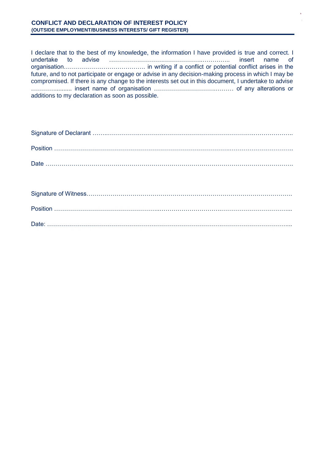I declare that to the best of my knowledge, the information I have provided is true and correct. I undertake to advise ………………………………………..………….. insert name of organisation……………….…………………. in writing if a conflict or potential conflict arises in the future, and to not participate or engage or advise in any decision-making process in which I may be compromised. If there is any change to the interests set out in this document, I undertake to advise ………….......... insert name of organisation ………………………….……… of any alterations or additions to my declaration as soon as possible.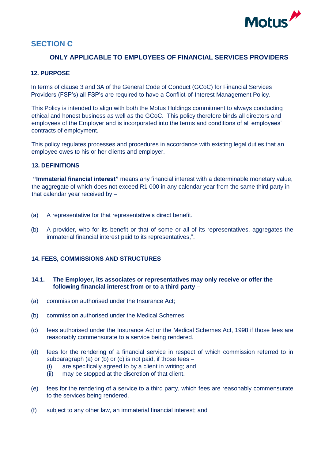

# <span id="page-12-0"></span>**SECTION C**

## **ONLY APPLICABLE TO EMPLOYEES OF FINANCIAL SERVICES PROVIDERS**

## <span id="page-12-1"></span>**12. PURPOSE**

In terms of clause 3 and 3A of the General Code of Conduct (GCoC) for Financial Services Providers (FSP's) all FSP's are required to have a Conflict-of-Interest Management Policy.

This Policy is intended to align with both the Motus Holdings commitment to always conducting ethical and honest business as well as the GCoC. This policy therefore binds all directors and employees of the Employer and is incorporated into the terms and conditions of all employees' contracts of employment.

This policy regulates processes and procedures in accordance with existing legal duties that an employee owes to his or her clients and employer.

#### <span id="page-12-2"></span>**13. DEFINITIONS**

**"Immaterial financial interest"** means any financial interest with a determinable monetary value, the aggregate of which does not exceed R1 000 in any calendar year from the same third party in that calendar year received by –

- (a) A representative for that representative's direct benefit.
- (b) A provider, who for its benefit or that of some or all of its representatives, aggregates the immaterial financial interest paid to its representatives,".

#### <span id="page-12-3"></span>**14. FEES, COMMISSIONS AND STRUCTURES**

#### **14.1. The Employer, its associates or representatives may only receive or offer the following financial interest from or to a third party –**

- (a) commission authorised under the Insurance Act;
- (b) commission authorised under the Medical Schemes.
- (c) fees authorised under the Insurance Act or the Medical Schemes Act, 1998 if those fees are reasonably commensurate to a service being rendered.
- (d) fees for the rendering of a financial service in respect of which commission referred to in subparagraph (a) or (b) or (c) is not paid, if those fees –
	- (i) are specifically agreed to by a client in writing; and
	- (ii) may be stopped at the discretion of that client.
- (e) fees for the rendering of a service to a third party, which fees are reasonably commensurate to the services being rendered.
- (f) subject to any other law, an immaterial financial interest; and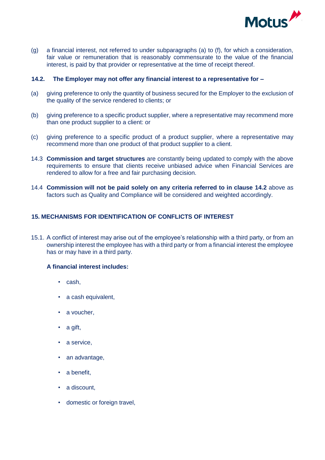

(g) a financial interest, not referred to under subparagraphs (a) to (f), for which a consideration, fair value or remuneration that is reasonably commensurate to the value of the financial interest, is paid by that provider or representative at the time of receipt thereof.

#### **14.2. The Employer may not offer any financial interest to a representative for –**

- (a) giving preference to only the quantity of business secured for the Employer to the exclusion of the quality of the service rendered to clients; or
- (b) giving preference to a specific product supplier, where a representative may recommend more than one product supplier to a client: or
- (c) giving preference to a specific product of a product supplier, where a representative may recommend more than one product of that product supplier to a client.
- 14.3 **Commission and target structures** are constantly being updated to comply with the above requirements to ensure that clients receive unbiased advice when Financial Services are rendered to allow for a free and fair purchasing decision.
- 14.4 **Commission will not be paid solely on any criteria referred to in clause 14.2** above as factors such as Quality and Compliance will be considered and weighted accordingly.

#### <span id="page-13-0"></span>**15. MECHANISMS FOR IDENTIFICATION OF CONFLICTS OF INTEREST**

15.1. A conflict of interest may arise out of the employee's relationship with a third party, or from an ownership interest the employee has with a third party or from a financial interest the employee has or may have in a third party.

#### **A financial interest includes:**

- cash,
- a cash equivalent,
- a voucher,
- a gift,
- a service,
- an advantage,
- a benefit,
- a discount,
- domestic or foreign travel,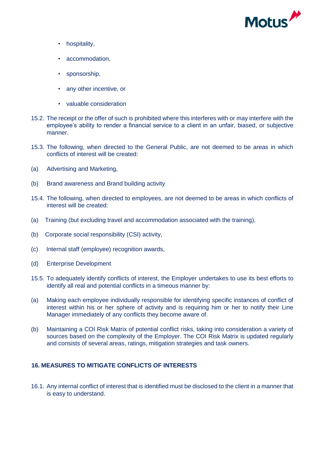

- hospitality,
- accommodation,
- sponsorship,
- any other incentive, or
- valuable consideration
- 15.2. The receipt or the offer of such is prohibited where this interferes with or may interfere with the employee's ability to render a financial service to a client in an unfair, biased, or subjective manner.
- 15.3. The following, when directed to the General Public, are not deemed to be areas in which conflicts of interest will be created:
- (a) Advertising and Marketing,
- (b) Brand awareness and Brand building activity
- 15.4. The following, when directed to employees, are not deemed to be areas in which conflicts of interest will be created:
- (a) Training (but excluding travel and accommodation associated with the training),
- (b) Corporate social responsibility (CSI) activity,
- (c) Internal staff (employee) recognition awards,
- (d) Enterprise Development
- 15.5. To adequately identify conflicts of interest, the Employer undertakes to use its best efforts to identify all real and potential conflicts in a timeous manner by:
- (a) Making each employee individually responsible for identifying specific instances of conflict of interest within his or her sphere of activity and is requiring him or her to notify their Line Manager immediately of any conflicts they become aware of.
- (b) Maintaining a COI Risk Matrix of potential conflict risks, taking into consideration a variety of sources based on the complexity of the Employer. The COI Risk Matrix is updated regularly and consists of several areas, ratings, mitigation strategies and task owners.

#### <span id="page-14-0"></span>**16. MEASURES TO MITIGATE CONFLICTS OF INTERESTS**

16.1. Any internal conflict of interest that is identified must be disclosed to the client in a manner that is easy to understand.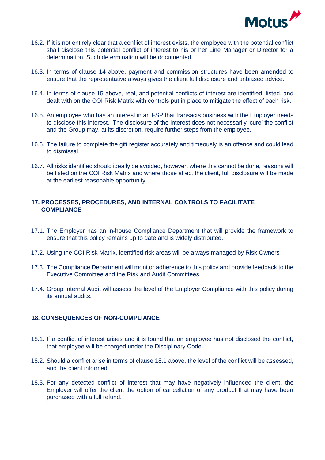

- 16.2. If it is not entirely clear that a conflict of interest exists, the employee with the potential conflict shall disclose this potential conflict of interest to his or her Line Manager or Director for a determination. Such determination will be documented.
- 16.3. In terms of clause 14 above, payment and commission structures have been amended to ensure that the representative always gives the client full disclosure and unbiased advice.
- 16.4. In terms of clause 15 above, real, and potential conflicts of interest are identified, listed, and dealt with on the COI Risk Matrix with controls put in place to mitigate the effect of each risk.
- 16.5. An employee who has an interest in an FSP that transacts business with the Employer needs to disclose this interest. The disclosure of the interest does not necessarily 'cure' the conflict and the Group may, at its discretion, require further steps from the employee.
- 16.6. The failure to complete the gift register accurately and timeously is an offence and could lead to dismissal.
- 16.7. All risks identified should ideally be avoided, however, where this cannot be done, reasons will be listed on the COI Risk Matrix and where those affect the client, full disclosure will be made at the earliest reasonable opportunity

#### <span id="page-15-0"></span>**17. PROCESSES, PROCEDURES, AND INTERNAL CONTROLS TO FACILITATE COMPLIANCE**

- 17.1. The Employer has an in-house Compliance Department that will provide the framework to ensure that this policy remains up to date and is widely distributed.
- 17.2. Using the COI Risk Matrix, identified risk areas will be always managed by Risk Owners
- 17.3. The Compliance Department will monitor adherence to this policy and provide feedback to the Executive Committee and the Risk and Audit Committees.
- 17.4. Group Internal Audit will assess the level of the Employer Compliance with this policy during its annual audits.

#### <span id="page-15-1"></span>**18. CONSEQUENCES OF NON-COMPLIANCE**

- 18.1. If a conflict of interest arises and it is found that an employee has not disclosed the conflict, that employee will be charged under the Disciplinary Code.
- 18.2. Should a conflict arise in terms of clause 18.1 above, the level of the conflict will be assessed, and the client informed.
- 18.3. For any detected conflict of interest that may have negatively influenced the client, the Employer will offer the client the option of cancellation of any product that may have been purchased with a full refund.